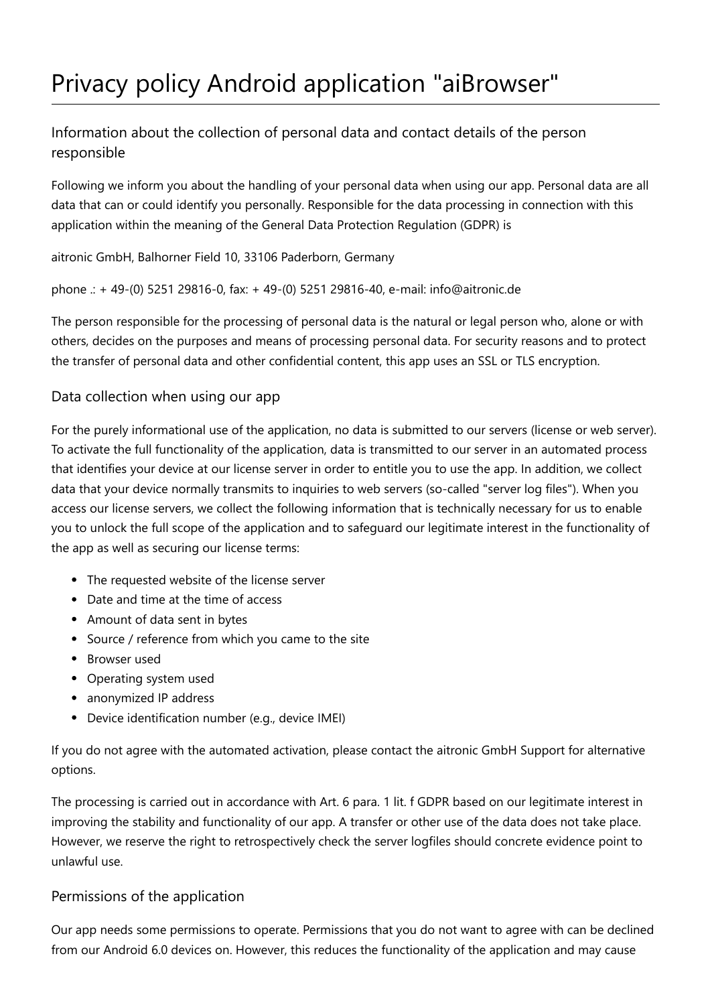# Privacy policy Android application "aiBrowser"

Information about the collection of personal data and contact details of the person responsible

Following we inform you about the handling of your personal data when using our app. Personal data are all data that can or could identify you personally. Responsible for the data processing in connection with this application within the meaning of the General Data Protection Regulation (GDPR) is

aitronic GmbH, Balhorner Field 10, 33106 Paderborn, Germany

phone .: + 49-(0) 5251 29816-0, fax: + 49-(0) 5251 29816-40, e-mail: info@aitronic.de

The person responsible for the processing of personal data is the natural or legal person who, alone or with others, decides on the purposes and means of processing personal data. For security reasons and to protect the transfer of personal data and other confidential content, this app uses an SSL or TLS encryption.

## Data collection when using our app

For the purely informational use of the application, no data is submitted to our servers (license or web server). To activate the full functionality of the application, data is transmitted to our server in an automated process that identifies your device at our license server in order to entitle you to use the app. In addition, we collect data that your device normally transmits to inquiries to web servers (so-called "server log files"). When you access our license servers, we collect the following information that is technically necessary for us to enable you to unlock the full scope of the application and to safeguard our legitimate interest in the functionality of the app as well as securing our license terms:

- The requested website of the license server
- Date and time at the time of access
- Amount of data sent in bytes
- Source / reference from which you came to the site
- Browser used
- Operating system used
- anonymized IP address
- Device identification number (e.g., device IMEI)

If you do not agree with the automated activation, please contact the aitronic GmbH Support for alternative options.

The processing is carried out in accordance with Art. 6 para. 1 lit. f GDPR based on our legitimate interest in improving the stability and functionality of our app. A transfer or other use of the data does not take place. However, we reserve the right to retrospectively check the server logfiles should concrete evidence point to unlawful use.

#### Permissions of the application

Our app needs some permissions to operate. Permissions that you do not want to agree with can be declined from our Android 6.0 devices on. However, this reduces the functionality of the application and may cause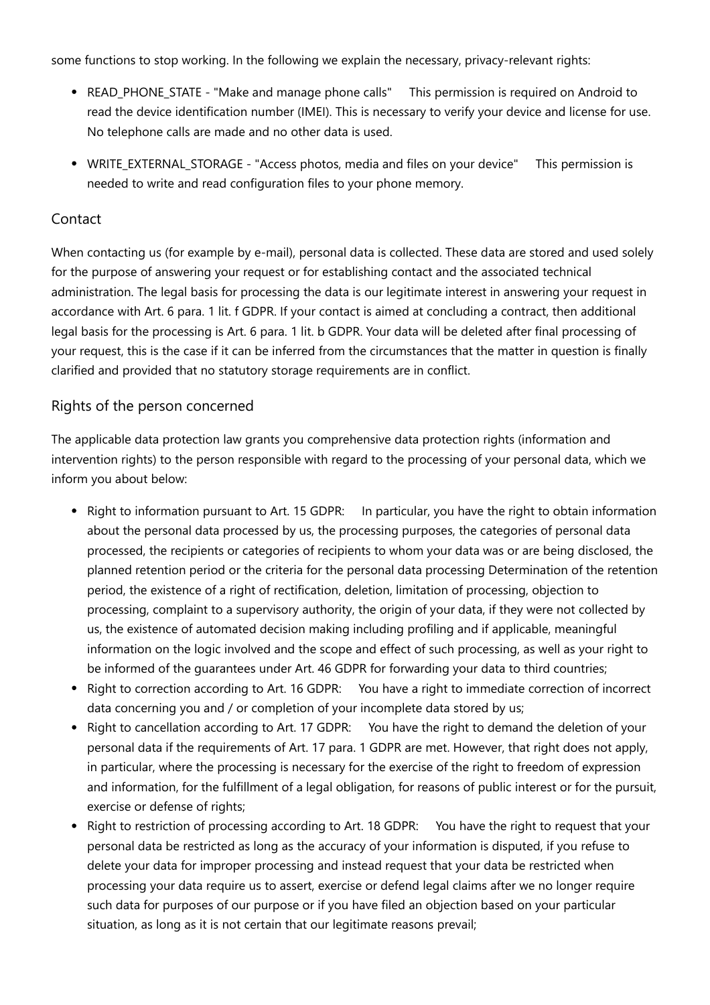some functions to stop working. In the following we explain the necessary, privacy-relevant rights:

- READ\_PHONE\_STATE "Make and manage phone calls" This permission is required on Android to read the device identification number (IMEI). This is necessary to verify your device and license for use. No telephone calls are made and no other data is used.
- WRITE\_EXTERNAL\_STORAGE "Access photos, media and files on your device" This permission is needed to write and read configuration files to your phone memory.

#### **Contact**

When contacting us (for example by e-mail), personal data is collected. These data are stored and used solely for the purpose of answering your request or for establishing contact and the associated technical administration. The legal basis for processing the data is our legitimate interest in answering your request in accordance with Art. 6 para. 1 lit. f GDPR. If your contact is aimed at concluding a contract, then additional legal basis for the processing is Art. 6 para. 1 lit. b GDPR. Your data will be deleted after final processing of your request, this is the case if it can be inferred from the circumstances that the matter in question is finally clarified and provided that no statutory storage requirements are in conflict.

#### Rights of the person concerned

The applicable data protection law grants you comprehensive data protection rights (information and intervention rights) to the person responsible with regard to the processing of your personal data, which we inform you about below:

- Right to information pursuant to Art. 15 GDPR: In particular, you have the right to obtain information about the personal data processed by us, the processing purposes, the categories of personal data processed, the recipients or categories of recipients to whom your data was or are being disclosed, the planned retention period or the criteria for the personal data processing Determination of the retention period, the existence of a right of rectification, deletion, limitation of processing, objection to processing, complaint to a supervisory authority, the origin of your data, if they were not collected by us, the existence of automated decision making including profiling and if applicable, meaningful information on the logic involved and the scope and effect of such processing, as well as your right to be informed of the guarantees under Art. 46 GDPR for forwarding your data to third countries;
- Right to correction according to Art. 16 GDPR: You have a right to immediate correction of incorrect data concerning you and / or completion of your incomplete data stored by us;
- Right to cancellation according to Art. 17 GDPR: You have the right to demand the deletion of your personal data if the requirements of Art. 17 para. 1 GDPR are met. However, that right does not apply, in particular, where the processing is necessary for the exercise of the right to freedom of expression and information, for the fulfillment of a legal obligation, for reasons of public interest or for the pursuit, exercise or defense of rights;
- Right to restriction of processing according to Art. 18 GDPR: You have the right to request that your personal data be restricted as long as the accuracy of your information is disputed, if you refuse to delete your data for improper processing and instead request that your data be restricted when processing your data require us to assert, exercise or defend legal claims after we no longer require such data for purposes of our purpose or if you have filed an objection based on your particular situation, as long as it is not certain that our legitimate reasons prevail;